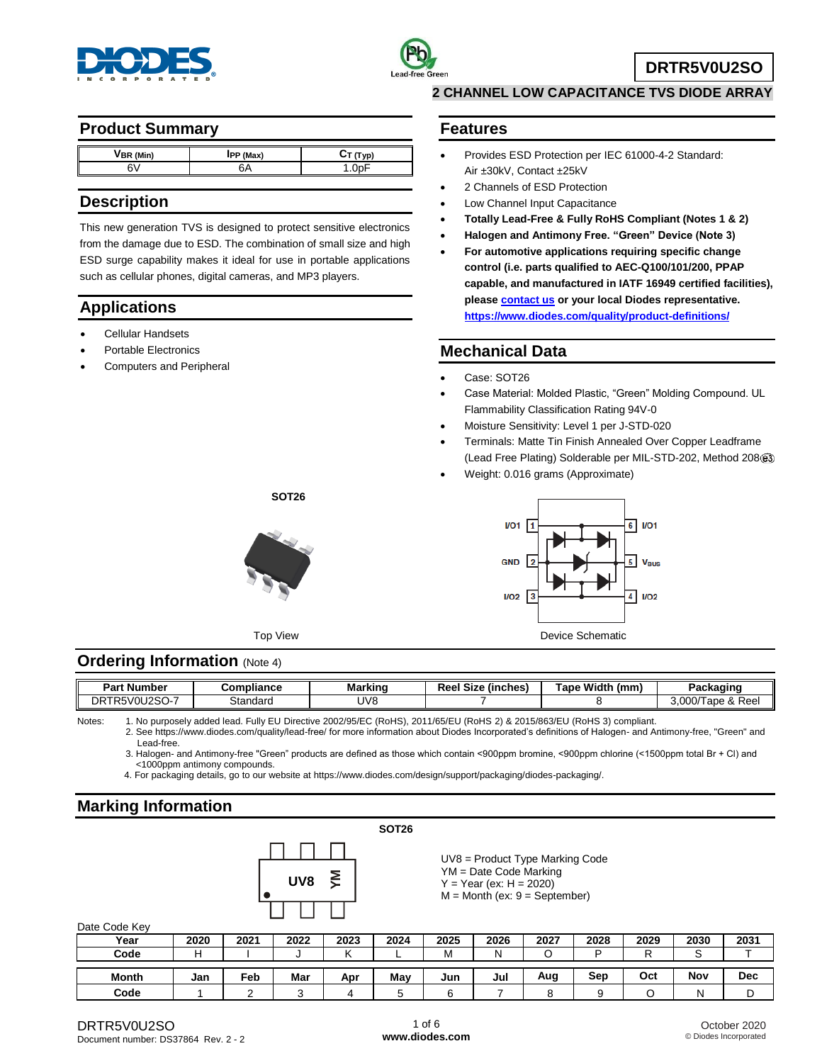



**DRTR5V0U2SO**

## **Product Summary**

| BR (Min) | <b>IPP</b> (Max) | Tvɒ) |
|----------|------------------|------|
| Ë        |                  |      |
|          |                  |      |

## **Description**

This new generation TVS is designed to protect sensitive electronics from the damage due to ESD. The combination of small size and high ESD surge capability makes it ideal for use in portable applications such as cellular phones, digital cameras, and MP3 players.

# **Applications**

- Cellular Handsets
- Portable Electronics
- Computers and Peripheral

#### **2 CHANNEL LOW CAPACITANCE TVS DIODE ARRAY**

#### **Features**

- Provides ESD Protection per IEC 61000-4-2 Standard: Air ±30kV, Contact ±25kV
- 2 Channels of ESD Protection
- Low Channel Input Capacitance
- **Totally Lead-Free & Fully RoHS Compliant (Notes 1 & 2)**
- **Halogen and Antimony Free. "Green" Device (Note 3)**
- **For automotive applications requiring specific change control (i.e. parts qualified to AEC-Q100/101/200, PPAP capable, and manufactured in IATF 16949 certified facilities), pleas[e contact us](https://www.diodes.com/about/contact-us/) or your local Diodes representative. <https://www.diodes.com/quality/product-definitions/>**

## **Mechanical Data**

- Case: SOT26
- Case Material: Molded Plastic, "Green" Molding Compound. UL Flammability Classification Rating 94V-0
- Moisture Sensitivity: Level 1 per J-STD-020
- Terminals: Matte Tin Finish Annealed Over Copper Leadframe (Lead Free Plating) Solderable per MIL-STD-202, Method 208
- Weight: 0.016 grams (Approximate)



## **Ordering Information (Note 4)**

| Part<br>ː Number             | Compliance | Marking | <b>Size</b><br>Reel<br>√inches! | Tape,<br>Width<br>(mm) | Daekasine<br>ackaunk                        |
|------------------------------|------------|---------|---------------------------------|------------------------|---------------------------------------------|
| TR5V0U2SO<br>DR <sup>-</sup> | Standard   | UV8     |                                 |                        | & Reel<br>000<br>$\sim$<br>iabe ox<br>o.uuv |
|                              |            |         |                                 |                        |                                             |

Notes: 1. No purposely added lead. Fully EU Directive 2002/95/EC (RoHS), 2011/65/EU (RoHS 2) & 2015/863/EU (RoHS 3) compliant.

2. See https://www.diodes.com/quality/lead-free/ for more information about Diodes Incorporated's definitions of Halogen- and Antimony-free, "Green" and Lead-free.

3. Halogen- and Antimony-free "Green" products are defined as those which contain <900ppm bromine, <900ppm chlorine (<1500ppm total Br + Cl) and <1000ppm antimony compounds.

4. For packaging details, go to our website at https://www.diodes.com/design/support/packaging/diodes-packaging/.

## **Marking Information**

|  |     |   | <b>SOT26</b> |
|--|-----|---|--------------|
|  |     |   |              |
|  | UV8 | ξ |              |
|  |     |   |              |

UV8 = Product Type Marking Code YM = Date Code Marking  $Y = Year (ex: H = 2020)$  $M =$  Month (ex:  $9 =$  September)

Date Code Key

| Date Code Key |      |      |      |      |      |      |      |      |      |      |         |            |
|---------------|------|------|------|------|------|------|------|------|------|------|---------|------------|
| Year          | 2020 | 2021 | 2022 | 2023 | 2024 | 2025 | 2026 | 2027 | 2028 | 2029 | 2030    | 2031       |
| Code          |      |      |      |      | -    | м    |      | ∩    | ם    |      | ⌒<br>v. |            |
|               |      |      |      |      |      |      |      |      |      |      |         |            |
| Month         | Jan  | Feb  | Mar  | Apr  | Mav  | Jun  | Jul  | Aug  | Sep  | Oct  | Nov     | <b>Dec</b> |
| Code          |      |      |      |      |      |      |      |      | 9    |      | N       |            |



Top View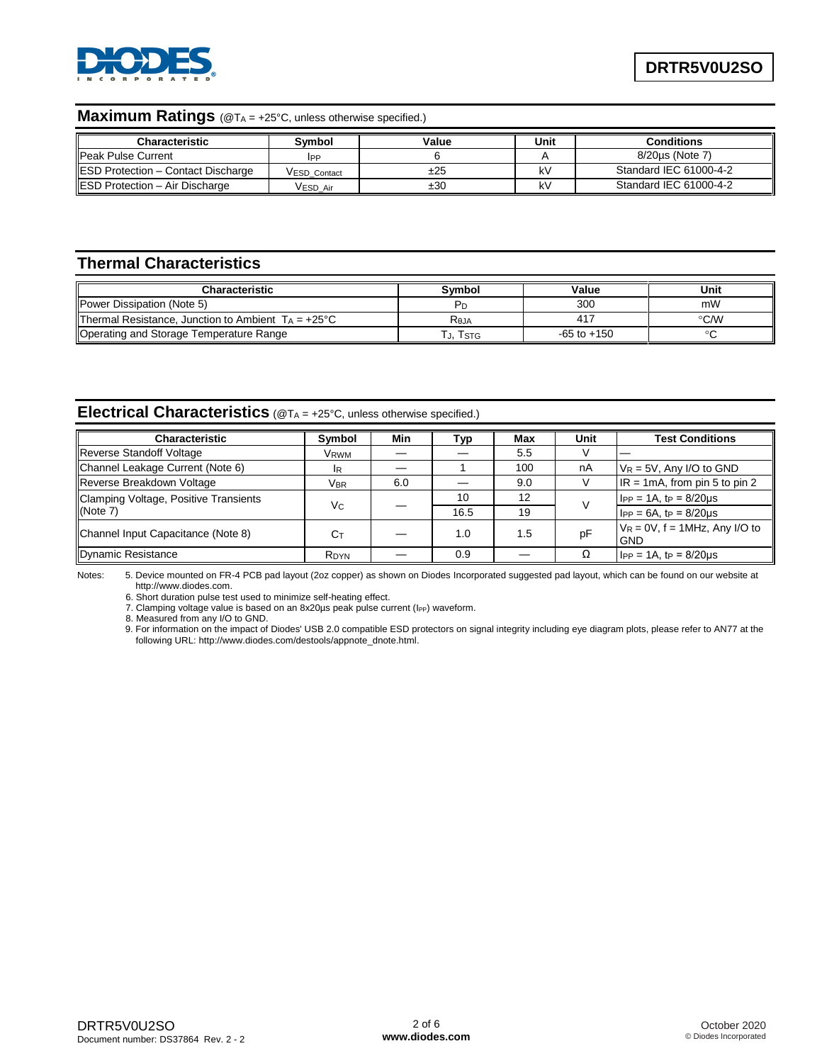

#### **Maximum Ratings** (@T<sup>A</sup> = +25°C, unless otherwise specified.)

| <b>Characteristic</b>                      | Svmbol       | Value | Unit | <b>Conditions</b>      |
|--------------------------------------------|--------------|-------|------|------------------------|
| <b>IPeak Pulse Current</b>                 | IPP          |       |      | 8/20us (Note 7)        |
| <b>IESD Protection - Contact Discharge</b> | VESD Contact | ±25   | kV   | Standard IEC 61000-4-2 |
| <b>IESD Protection - Air Discharge</b>     | VESD Air     | ±30   | kV   | Standard IEC 61000-4-2 |

## **Thermal Characteristics**

| Characteristic                                               | Svmbol       | Value           | Unit          |
|--------------------------------------------------------------|--------------|-----------------|---------------|
| <b>IPower Dissipation (Note 5)</b>                           |              | 300             | mW            |
| Thermal Resistance, Junction to Ambient $T_A = +25^{\circ}C$ | <b>R</b> eja | -417            | $\degree$ C/W |
| Operating and Storage Temperature Range                      | Тл. Tsтg     | $-65$ to $+150$ |               |

## **Electrical Characteristics** (@TA = +25°C, unless otherwise specified.)

| <b>Characteristic</b>                 | Symbol     | Min | Тур  | Max | Unit | <b>Test Conditions</b>                          |
|---------------------------------------|------------|-----|------|-----|------|-------------------------------------------------|
| Reverse Standoff Voltage              | Vrwm       |     |      | 5.5 |      |                                                 |
| Channel Leakage Current (Note 6)      | IR.        |     |      | 100 | nA   | $V_R = 5V$ , Any I/O to GND                     |
| Reverse Breakdown Voltage             | <b>VBR</b> | 6.0 |      | 9.0 |      | $IR = 1mA$ , from pin 5 to pin 2                |
| Clamping Voltage, Positive Transients |            |     | 10   | 12  |      | $I_{PP} = 1A$ , t <sub>P</sub> = 8/20us         |
| (Note 7)                              | Vc         |     | 16.5 | 19  |      | $I_{PP} = 6A$ , tp = 8/20us                     |
| Channel Input Capacitance (Note 8)    | Ст         |     | 1.0  | 1.5 | pF   | $V_R = 0V$ , f = 1MHz, Any I/O to<br><b>GND</b> |
| Dynamic Resistance                    | RDYN       |     | 0.9  |     | Ω    | $I_{PP} = 1A$ . tp = 8/20us                     |

Notes: 5. Device mounted on FR-4 PCB pad layout (2oz copper) as shown on Diodes Incorporated suggested pad layout, which can be found on our website at http://www.diodes.com.

6. Short duration pulse test used to minimize self-heating effect.

7. Clamping voltage value is based on an 8x20µs peak pulse current ( $I_{PP}$ ) waveform.

8. Measured from any I/O to GND.

9. For information on the impact of Diodes' USB 2.0 compatible ESD protectors on signal integrity including eye diagram plots, please refer to AN77 at the following URL: http://www.diodes.com/destools/appnote\_dnote.html.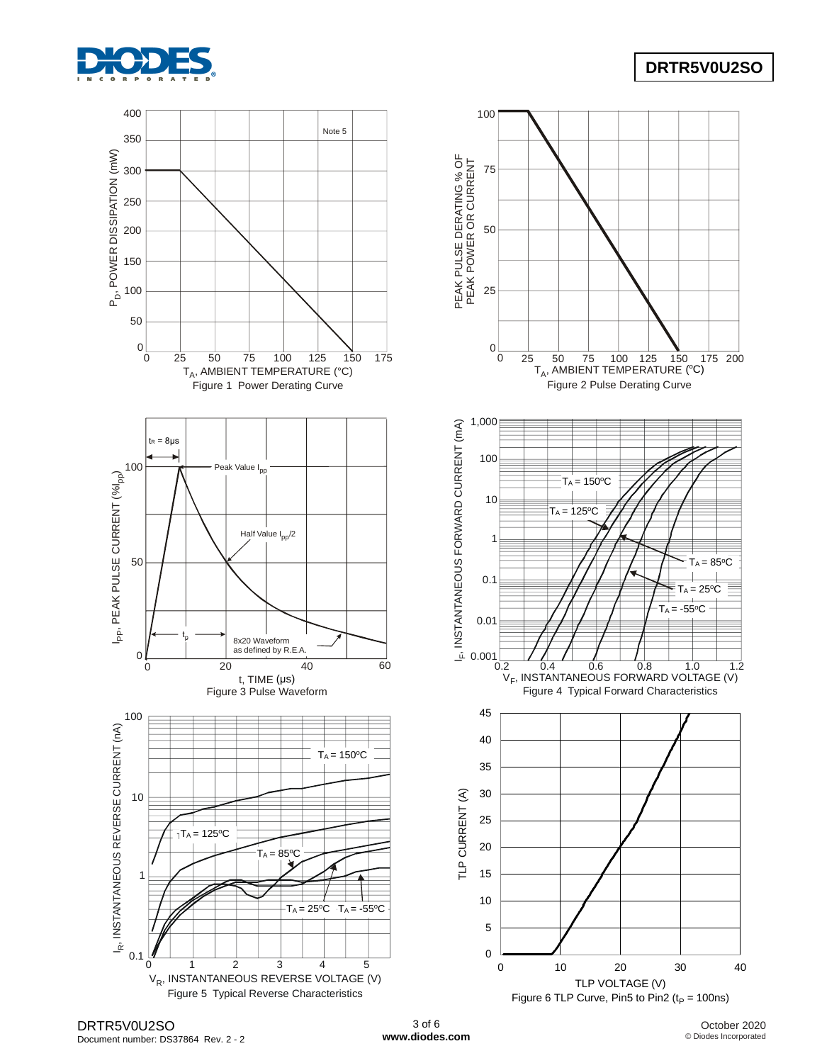

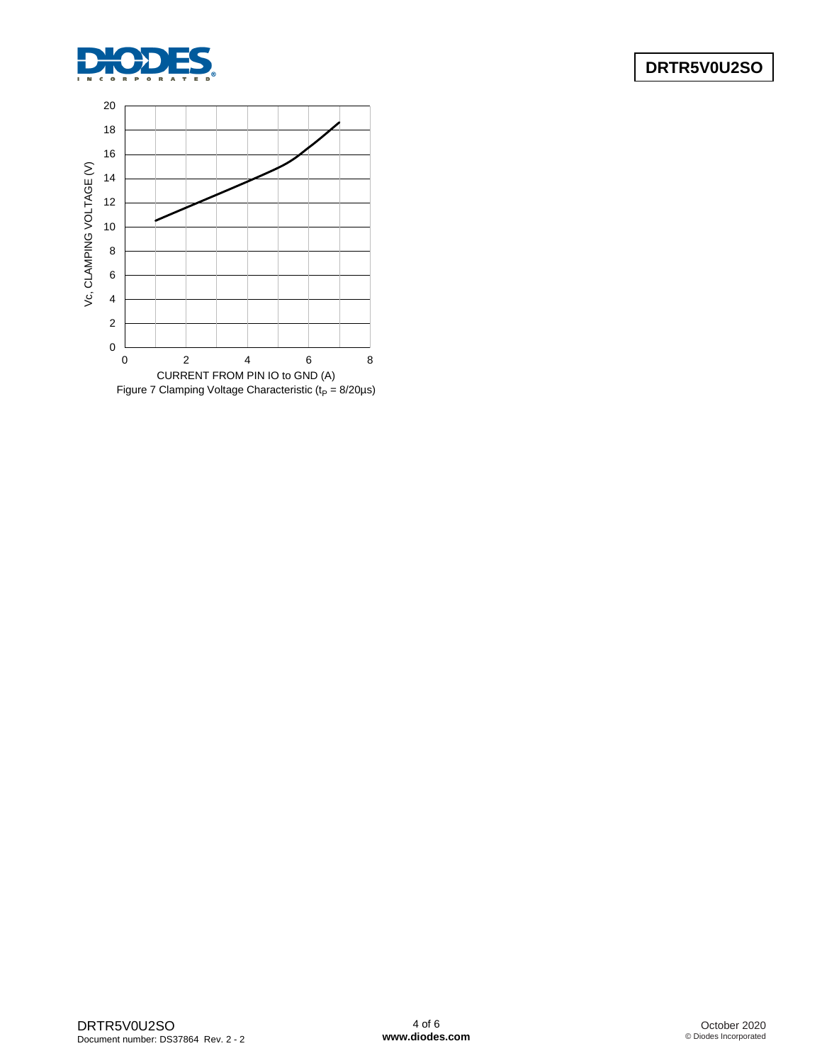

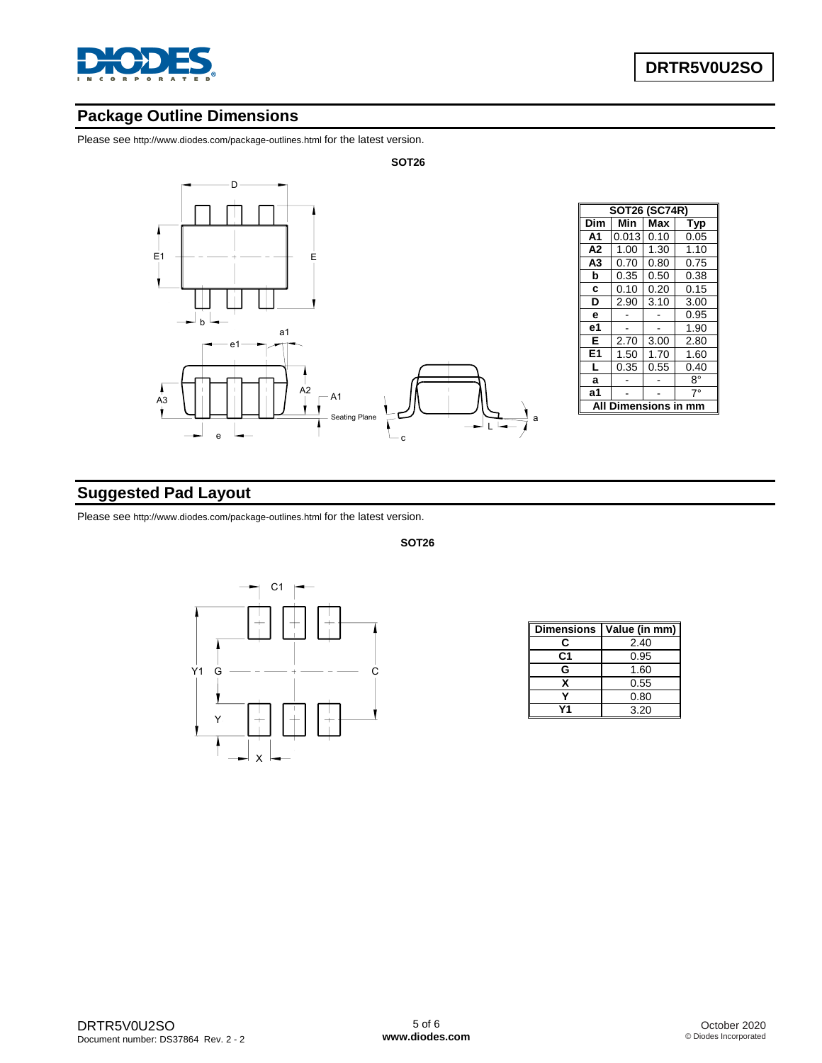

## **Package Outline Dimensions**

Please see http://www.diodes.com/package-outlines.html for the latest version.



# **Suggested Pad Layout**

Please see http://www.diodes.com/package-outlines.html for the latest version.



**SOT26**

| <b>Dimensions</b> | Value (in mm) |
|-------------------|---------------|
| c                 | 2.40          |
| C1                | 0.95          |
| G                 | 1.60          |
| x                 | 0.55          |
|                   | 0.80          |
|                   | 3.20          |

DRTR5V0U2SO Document number: DS37864 Rev. 2 - 2